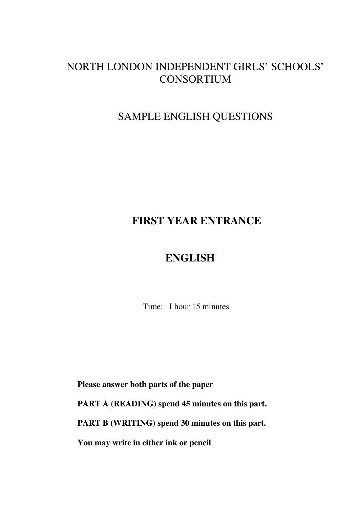### NORTH LONDON INDEPENDENT GIRLS' SCHOOLS' CONSORTIUM

#### SAMPLE ENGLISH QUESTIONS

### **FIRST YEAR ENTRANCE**

### **ENGLISH**

Time: I hour 15 minutes

 **Please answer both parts of the paper PART A (READING) spend 45 minutes on this part. PART B (WRITING) spend 30 minutes on this part. You may write in either ink or pencil**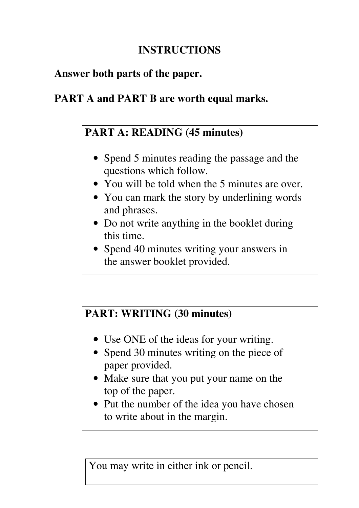# **INSTRUCTIONS**

## **Answer both parts of the paper.**

# **PART A and PART B are worth equal marks.**

# **PART A: READING (45 minutes)**

- Spend 5 minutes reading the passage and the questions which follow.
- You will be told when the 5 minutes are over.
- You can mark the story by underlining words and phrases.
- Do not write anything in the booklet during this time.
- Spend 40 minutes writing your answers in the answer booklet provided.

# **PART: WRITING (30 minutes)**

- Use ONE of the ideas for your writing.
- Spend 30 minutes writing on the piece of paper provided.
- Make sure that you put your name on the top of the paper.
- Put the number of the idea you have chosen to write about in the margin.

You may write in either ink or pencil.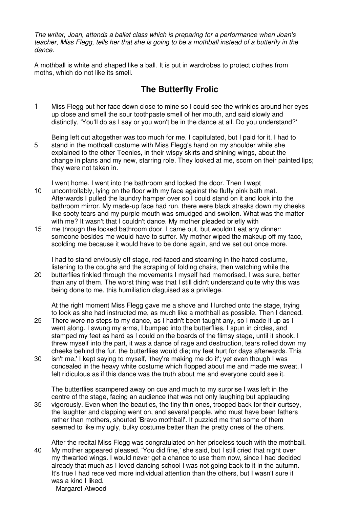The writer, Joan, attends a ballet class which is preparing for a performance when Joan's teacher, Miss Flegg, tells her that she is going to be a mothball instead of a butterfly in the dance.

A mothball is white and shaped like a ball. It is put in wardrobes to protect clothes from moths, which do not like its smell.

#### **The Butterfly Frolic**

- 1 Miss Flegg put her face down close to mine so I could see the wrinkles around her eyes up close and smell the sour toothpaste smell of her mouth, and said slowly and distinctly, 'You'll do as I say or you won't be in the dance at all. Do you understand?'
- Being left out altogether was too much for me. I capitulated, but I paid for it. I had to 5 stand in the mothball costume with Miss Flegg's hand on my shoulder while she explained to the other Teenies, in their wispy skirts and shining wings, about the change in plans and my new, starring role. They looked at me, scorn on their painted lips; they were not taken in.

I went home. I went into the bathroom and locked the door. Then I wept

- 10 uncontrollably, lying on the floor with my face against the fluffy pink bath mat. Afterwards I pulled the laundry hamper over so I could stand on it and look into the bathroom mirror. My made-up face had run, there were black streaks down my cheeks like sooty tears and my purple mouth was smudged and swollen. What was the matter with me? It wasn't that I couldn't dance. My mother pleaded briefly with
- 15 me through the locked bathroom door. I came out, but wouldn't eat any dinner: someone besides me would have to suffer. My mother wiped the makeup off my face, scolding me because it would have to be done again, and we set out once more.

I had to stand enviously off stage, red-faced and steaming in the hated costume, listening to the coughs and the scraping of folding chairs, then watching while the 20 butterflies tinkled through the movements I myself had memorised, I was sure, better

than any of them. The worst thing was that I still didn't understand quite why this was being done to me, this humiliation disguised as a privilege.

At the right moment Miss Flegg gave me a shove and I lurched onto the stage, trying to look as she had instructed me, as much like a mothball as possible. Then I danced.

- 25 There were no steps to my dance, as I hadn't been taught any, so I made it up as I went along. I swung my arms, I bumped into the butterflies, I spun in circles, and stamped my feet as hard as I could on the boards of the flimsy stage, until it shook. I threw myself into the part, it was a dance of rage and destruction, tears rolled down my cheeks behind the fur, the butterflies would die; my feet hurt for days afterwards. This
- 30 isn't me,' I kept saying to myself, 'they're making me do it'; yet even though I was concealed in the heavy white costume which flopped about me and made me sweat, I felt ridiculous as if this dance was the truth about me and everyone could see it.

The butterflies scampered away on cue and much to my surprise I was left in the centre of the stage, facing an audience that was not only laughing but applauding 35 vigorously. Even when the beauties, the tiny thin ones, trooped back for their curtsey, the laughter and clapping went on, and several people, who must have been fathers rather than mothers, shouted 'Bravo mothball'. It puzzled me that some of them seemed to like my ugly, bulky costume better than the pretty ones of the others.

After the recital Miss Flegg was congratulated on her priceless touch with the mothball. 40 My mother appeared pleased. 'You did fine,' she said, but I still cried that night over my thwarted wings. I would never get a chance to use them now, since I had decided already that much as I loved dancing school I was not going back to it in the autumn. It's true I had received more individual attention than the others, but I wasn't sure it was a kind I liked. Margaret Atwood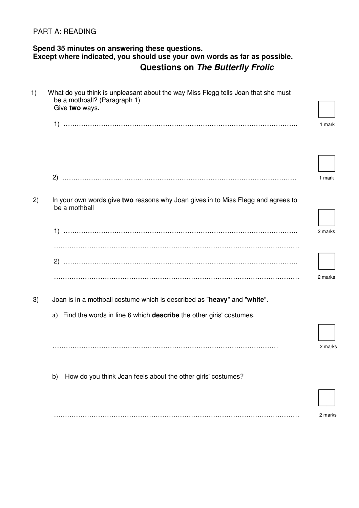#### PART A: READING

#### **Spend 35 minutes on answering these questions. Except where indicated, you should use your own words as far as possible. Questions on The Butterfly Frolic**

| 1) | What do you think is unpleasant about the way Miss Flegg tells Joan that she must<br>be a mothball? (Paragraph 1)<br>Give two ways. |         |
|----|-------------------------------------------------------------------------------------------------------------------------------------|---------|
|    |                                                                                                                                     | 1 mark  |
|    |                                                                                                                                     | 1 mark  |
| 2) | In your own words give two reasons why Joan gives in to Miss Flegg and agrees to<br>be a mothball                                   |         |
|    |                                                                                                                                     | 2 marks |
|    |                                                                                                                                     | 2 marks |
| 3) | Joan is in a mothball costume which is described as "heavy" and "white".                                                            |         |
|    | Find the words in line 6 which describe the other giris' costumes.<br>a)                                                            |         |
|    |                                                                                                                                     | 2 marks |
|    | How do you think Joan feels about the other girls' costumes?<br>b)                                                                  |         |
|    |                                                                                                                                     |         |
|    |                                                                                                                                     | 2 marks |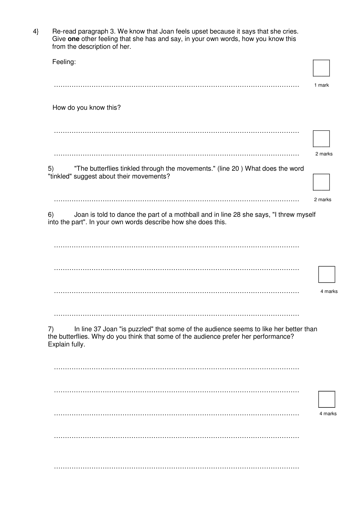| $4\}$ | Re-read paragraph 3. We know that Joan feels upset because it says that she cries.<br>Give one other feeling that she has and say, in your own words, how you know this<br>from the description of her. |         |
|-------|---------------------------------------------------------------------------------------------------------------------------------------------------------------------------------------------------------|---------|
|       | Feeling:                                                                                                                                                                                                |         |
|       |                                                                                                                                                                                                         | 1 mark  |
|       | How do you know this?                                                                                                                                                                                   |         |
|       |                                                                                                                                                                                                         |         |
|       |                                                                                                                                                                                                         | 2 marks |
|       | "The butterflies tinkled through the movements." (line 20) What does the word<br>5)<br>"tinkled" suggest about their movements?                                                                         |         |
|       |                                                                                                                                                                                                         | 2 marks |
|       | Joan is told to dance the part of a mothball and in line 28 she says, "I threw myself<br>6)<br>into the part". In your own words describe how she does this.                                            |         |
|       |                                                                                                                                                                                                         |         |
|       |                                                                                                                                                                                                         |         |
|       |                                                                                                                                                                                                         | 4 marks |
|       |                                                                                                                                                                                                         |         |
|       | In line 37 Joan "is puzzled" that some of the audience seems to like her better than<br>7)<br>the butterflies. Why do you think that some of the audience prefer her performance?<br>Explain fully.     |         |
|       |                                                                                                                                                                                                         |         |
|       |                                                                                                                                                                                                         |         |
|       |                                                                                                                                                                                                         | 4 marks |
|       |                                                                                                                                                                                                         |         |
|       |                                                                                                                                                                                                         |         |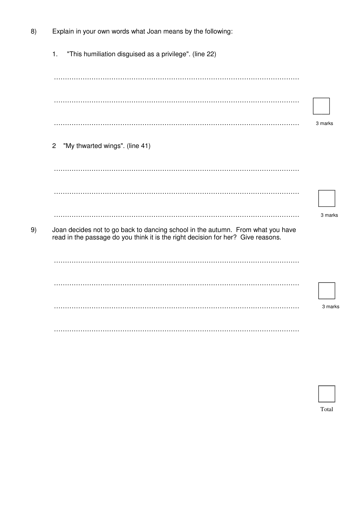| 8) | Explain in your own words what Joan means by the following:                                                                                                         |         |
|----|---------------------------------------------------------------------------------------------------------------------------------------------------------------------|---------|
|    | "This humiliation disguised as a privilege". (line 22)<br>1.                                                                                                        |         |
|    |                                                                                                                                                                     |         |
|    |                                                                                                                                                                     |         |
|    |                                                                                                                                                                     | 3 marks |
|    | "My thwarted wings". (line 41)<br>$\overline{c}$                                                                                                                    |         |
|    |                                                                                                                                                                     |         |
|    |                                                                                                                                                                     |         |
|    |                                                                                                                                                                     | 3 marks |
| 9) | Joan decides not to go back to dancing school in the autumn. From what you have<br>read in the passage do you think it is the right decision for her? Give reasons. |         |
|    |                                                                                                                                                                     |         |
|    |                                                                                                                                                                     |         |
|    |                                                                                                                                                                     | 3 marks |
|    |                                                                                                                                                                     |         |

| Total |
|-------|